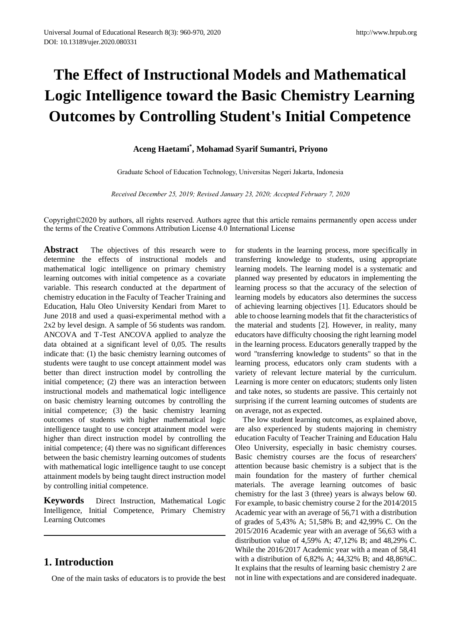# **The Effect of Instructional Models and Mathematical Logic Intelligence toward the Basic Chemistry Learning Outcomes by Controlling Student's Initial Competence**

## **Aceng Haetami\* , Mohamad Syarif Sumantri, Priyono**

Graduate School of Education Technology, Universitas Negeri Jakarta, Indonesia

*Received December 25, 2019; Revised January 23, 2020; Accepted February 7, 2020*

Copyright©2020 by authors, all rights reserved. Authors agree that this article remains permanently open access under the terms of the Creative Commons Attribution License 4.0 International License

**Abstract** The objectives of this research were to determine the effects of instructional models and mathematical logic intelligence on primary chemistry learning outcomes with initial competence as a covariate variable. This research conducted at the department of chemistry education in the Faculty of Teacher Training and Education, Halu Oleo University Kendari from Maret to June 2018 and used a quasi-experimental method with a 2x2 by level design. A sample of 56 students was random. ANCOVA and T-Test ANCOVA applied to analyze the data obtained at a significant level of 0,05. The results indicate that: (1) the basic chemistry learning outcomes of students were taught to use concept attainment model was better than direct instruction model by controlling the initial competence; (2) there was an interaction between instructional models and mathematical logic intelligence on basic chemistry learning outcomes by controlling the initial competence; (3) the basic chemistry learning outcomes of students with higher mathematical logic intelligence taught to use concept attainment model were higher than direct instruction model by controlling the initial competence; (4) there was no significant differences between the basic chemistry learning outcomes of students with mathematical logic intelligence taught to use concept attainment models by being taught direct instruction model by controlling initial competence.

**Keywords** Direct Instruction, Mathematical Logic Intelligence, Initial Competence, Primary Chemistry Learning Outcomes

## **1. Introduction**

One of the main tasks of educators is to provide the best

for students in the learning process, more specifically in transferring knowledge to students, using appropriate learning models. The learning model is a systematic and planned way presented by educators in implementing the learning process so that the accuracy of the selection of learning models by educators also determines the success of achieving learning objectives [1]. Educators should be able to choose learning models that fit the characteristics of the material and students [2]. However, in reality, many educators have difficulty choosing the right learning model in the learning process. Educators generally trapped by the word "transferring knowledge to students" so that in the learning process, educators only cram students with a variety of relevant lecture material by the curriculum. Learning is more center on educators; students only listen and take notes, so students are passive. This certainly not surprising if the current learning outcomes of students are on average, not as expected.

The low student learning outcomes, as explained above, are also experienced by students majoring in chemistry education Faculty of Teacher Training and Education Halu Oleo University, especially in basic chemistry courses. Basic chemistry courses are the focus of researchers' attention because basic chemistry is a subject that is the main foundation for the mastery of further chemical materials. The average learning outcomes of basic chemistry for the last 3 (three) years is always below 60. For example, to basic chemistry course 2 for the 2014/2015 Academic year with an average of 56,71 with a distribution of grades of 5,43% A; 51,58% B; and 42,99% C. On the 2015/2016 Academic year with an average of 56,63 with a distribution value of 4,59% A; 47,12% B; and 48,29% C. While the 2016/2017 Academic year with a mean of 58,41 with a distribution of 6,82% A; 44,32% B; and 48,86%C. It explains that the results of learning basic chemistry 2 are not in line with expectations and are considered inadequate.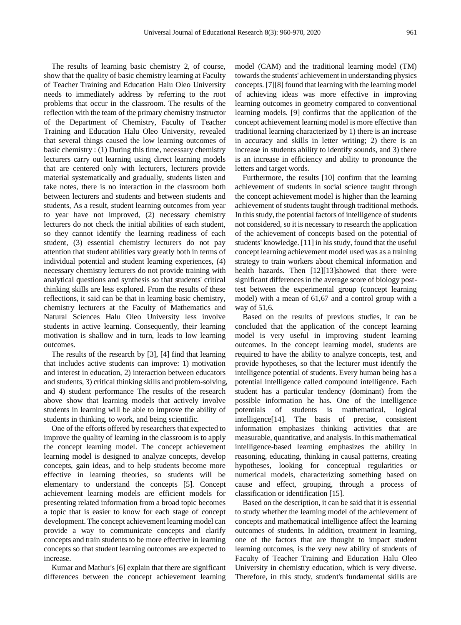The results of learning basic chemistry 2, of course, show that the quality of basic chemistry learning at Faculty of Teacher Training and Education Halu Oleo University needs to immediately address by referring to the root problems that occur in the classroom. The results of the reflection with the team of the primary chemistry instructor of the Department of Chemistry, Faculty of Teacher Training and Education Halu Oleo University, revealed that several things caused the low learning outcomes of basic chemistry : (1) During this time, necessary chemistry lecturers carry out learning using direct learning models that are centered only with lecturers, lecturers provide material systematically and gradually, students listen and take notes, there is no interaction in the classroom both between lecturers and students and between students and students, As a result, student learning outcomes from year to year have not improved, (2) necessary chemistry lecturers do not check the initial abilities of each student, so they cannot identify the learning readiness of each student, (3) essential chemistry lecturers do not pay attention that student abilities vary greatly both in terms of individual potential and student learning experiences, (4) necessary chemistry lecturers do not provide training with analytical questions and synthesis so that students' critical thinking skills are less explored. From the results of these reflections, it said can be that in learning basic chemistry, chemistry lecturers at the Faculty of Mathematics and Natural Sciences Halu Oleo University less involve students in active learning. Consequently, their learning motivation is shallow and in turn, leads to low learning outcomes.

The results of the research by [3], [4] find that learning that includes active students can improve: 1) motivation and interest in education, 2) interaction between educators and students, 3) critical thinking skills and problem-solving, and 4) student performance The results of the research above show that learning models that actively involve students in learning will be able to improve the ability of students in thinking, to work, and being scientific.

One of the efforts offered by researchers that expected to improve the quality of learning in the classroom is to apply the concept learning model. The concept achievement learning model is designed to analyze concepts, develop concepts, gain ideas, and to help students become more effective in learning theories, so students will be elementary to understand the concepts [5]. Concept achievement learning models are efficient models for presenting related information from a broad topic becomes a topic that is easier to know for each stage of concept development. The concept achievement learning model can provide a way to communicate concepts and clarify concepts and train students to be more effective in learning concepts so that student learning outcomes are expected to increase.

Kumar and Mathur's [6] explain that there are significant differences between the concept achievement learning model (CAM) and the traditional learning model (TM) towards the students' achievement in understanding physics concepts. [7][8] found that learning with the learning model of achieving ideas was more effective in improving learning outcomes in geometry compared to conventional learning models. [9] confirms that the application of the concept achievement learning model is more effective than traditional learning characterized by 1) there is an increase in accuracy and skills in letter writing; 2) there is an increase in students ability to identify sounds, and 3) there is an increase in efficiency and ability to pronounce the letters and target words.

Furthermore, the results [10] confirm that the learning achievement of students in social science taught through the concept achievement model is higher than the learning achievement of students taught through traditional methods. In this study, the potential factors of intelligence of students not considered, so it is necessary to research the application of the achievement of concepts based on the potential of students' knowledge. [11] in his study, found that the useful concept learning achievement model used was as a training strategy to train workers about chemical information and health hazards. Then [12][13]showed that there were significant differences in the average score of biology posttest between the experimental group (concept learning model) with a mean of 61,67 and a control group with a way of 51,6.

Based on the results of previous studies, it can be concluded that the application of the concept learning model is very useful in improving student learning outcomes. In the concept learning model, students are required to have the ability to analyze concepts, test, and provide hypotheses, so that the lecturer must identify the intelligence potential of students. Every human being has a potential intelligence called compound intelligence. Each student has a particular tendency (dominant) from the possible information he has. One of the intelligence potentials of students is mathematical, logical intelligence[14]. The basis of precise, consistent information emphasizes thinking activities that are measurable, quantitative, and analysis. In this mathematical intelligence-based learning emphasizes the ability in reasoning, educating, thinking in causal patterns, creating hypotheses, looking for conceptual regularities or numerical models, characterizing something based on cause and effect, grouping, through a process of classification or identification [15].

Based on the description, it can be said that it is essential to study whether the learning model of the achievement of concepts and mathematical intelligence affect the learning outcomes of students. In addition, treatment in learning, one of the factors that are thought to impact student learning outcomes, is the very new ability of students of Faculty of Teacher Training and Education Halu Oleo University in chemistry education, which is very diverse. Therefore, in this study, student's fundamental skills are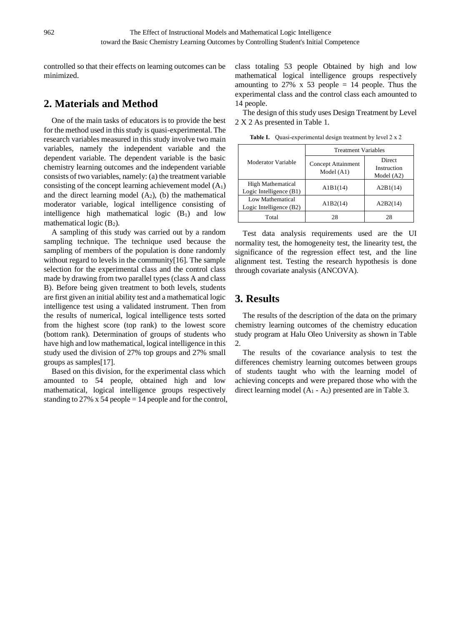controlled so that their effects on learning outcomes can be minimized.

# **2. Materials and Method**

One of the main tasks of educators is to provide the best for the method used in this study is quasi-experimental. The research variables measured in this study involve two main variables, namely the independent variable and the dependent variable. The dependent variable is the basic chemistry learning outcomes and the independent variable consists of two variables, namely: (a) the treatment variable consisting of the concept learning achievement model  $(A_1)$ and the direct learning model  $(A_2)$ , (b) the mathematical moderator variable, logical intelligence consisting of intelligence high mathematical logic  $(B_1)$  and low mathematical logic  $(B_2)$ .

A sampling of this study was carried out by a random sampling technique. The technique used because the sampling of members of the population is done randomly without regard to levels in the community[16]. The sample selection for the experimental class and the control class made by drawing from two parallel types (class A and class B). Before being given treatment to both levels, students are first given an initial ability test and a mathematical logic intelligence test using a validated instrument. Then from the results of numerical, logical intelligence tests sorted from the highest score (top rank) to the lowest score (bottom rank). Determination of groups of students who have high and low mathematical, logical intelligence in this study used the division of 27% top groups and 27% small groups as samples[17].

Based on this division, for the experimental class which amounted to 54 people, obtained high and low mathematical, logical intelligence groups respectively standing to 27%  $x$  54 people = 14 people and for the control, class totaling 53 people Obtained by high and low mathematical logical intelligence groups respectively amounting to 27% x 53 people  $= 14$  people. Thus the experimental class and the control class each amounted to 14 people.

The design of this study uses Design Treatment by Level 2 X 2 As presented in Table 1.

|--|

|                                                     | <b>Treatment Variables</b>                |                                              |  |  |  |
|-----------------------------------------------------|-------------------------------------------|----------------------------------------------|--|--|--|
| Moderator Variable                                  | <b>Concept Attainment</b><br>Model $(A1)$ | <b>Direct</b><br>Instruction<br>Model $(A2)$ |  |  |  |
| <b>High Mathematical</b><br>Logic Intelligence (B1) | A1B1(14)                                  | A2B1(14)                                     |  |  |  |
| Low Mathematical<br>Logic Intelligence (B2)         | A1B2(14)                                  | A2B2(14)                                     |  |  |  |
| Total                                               | 28                                        | 28                                           |  |  |  |

Test data analysis requirements used are the UI normality test, the homogeneity test, the linearity test, the significance of the regression effect test, and the line alignment test. Testing the research hypothesis is done through covariate analysis (ANCOVA).

# **3. Results**

The results of the description of the data on the primary chemistry learning outcomes of the chemistry education study program at Halu Oleo University as shown in Table 2.

The results of the covariance analysis to test the differences chemistry learning outcomes between groups of students taught who with the learning model of achieving concepts and were prepared those who with the direct learning model  $(A_1 - A_2)$  presented are in Table 3.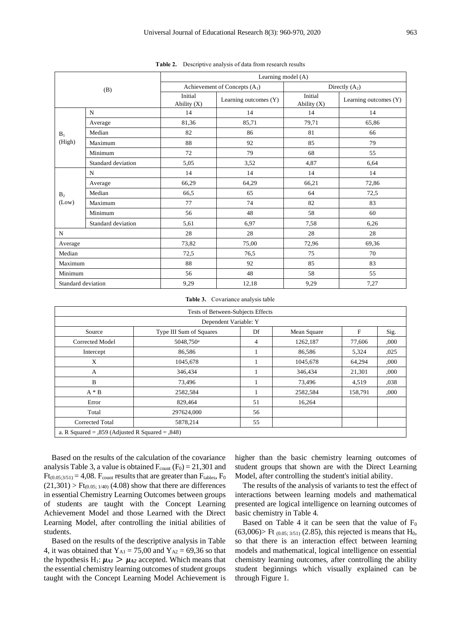|                |                    | Learning model (A)       |                                |                          |                       |  |  |  |
|----------------|--------------------|--------------------------|--------------------------------|--------------------------|-----------------------|--|--|--|
|                | (B)                |                          | Achievement of Concepts $(A1)$ | Directly $(A_2)$         |                       |  |  |  |
|                |                    | Initial<br>Ability $(X)$ | Learning outcomes (Y)          | Initial<br>Ability $(X)$ | Learning outcomes (Y) |  |  |  |
|                | N                  | 14                       | 14                             | 14                       | 14                    |  |  |  |
|                | Average            | 81,36                    | 85,71                          | 79,71                    | 65,86                 |  |  |  |
| $B_1$          | Median             | 82                       | 86                             | 81                       | 66                    |  |  |  |
| (High)         | Maximum            | 88                       | 92                             | 85                       | 79                    |  |  |  |
|                | Minimum            | 72                       | 79                             | 68                       | 55                    |  |  |  |
|                | Standard deviation | 5,05                     | 3,52                           | 4,87                     | 6,64                  |  |  |  |
|                | N                  | 14                       | 14                             | 14                       | 14                    |  |  |  |
|                | Average            | 66,29                    | 64,29                          | 66,21                    | 72,86                 |  |  |  |
| B <sub>2</sub> | Median             | 66,5                     | 65                             | 64                       | 72,5                  |  |  |  |
| (Low)          | Maximum            | 77                       | 74                             | 82                       | 83                    |  |  |  |
|                | Minimum            | 56                       | 48                             | 58                       | 60                    |  |  |  |
|                | Standard deviation | 5,61                     | 6,97                           | 7,58                     | 6,26                  |  |  |  |
| N              |                    | 28                       | 28                             | 28                       | 28                    |  |  |  |
| Average        |                    | 73,82                    | 75,00                          | 72,96                    | 69,36                 |  |  |  |
| Median         |                    | 72,5                     | 76,5                           | 75                       | 70                    |  |  |  |
| Maximum        |                    | 88                       | 92                             | 85                       | 83                    |  |  |  |
| Minimum        |                    | 56                       | 48                             | 58                       | 55                    |  |  |  |
|                | Standard deviation | 9,29                     | 12,18                          | 9,29                     | 7,27                  |  |  |  |

**Table 2.** Descriptive analysis of data from research results

**Table 3.** Covariance analysis table

| Tests of Between-Subjects Effects                           |                       |    |          |         |      |  |  |  |  |
|-------------------------------------------------------------|-----------------------|----|----------|---------|------|--|--|--|--|
| Dependent Variable: Y                                       |                       |    |          |         |      |  |  |  |  |
| F<br>Type III Sum of Squares<br>Df<br>Mean Square<br>Source |                       |    |          |         |      |  |  |  |  |
| Corrected Model                                             | 5048,750 <sup>a</sup> | 4  | 1262,187 | 77,606  | ,000 |  |  |  |  |
| Intercept                                                   | 86,586                |    | 86,586   | 5,324   | ,025 |  |  |  |  |
| X                                                           | 1045,678              |    | 1045,678 | 64,294  | ,000 |  |  |  |  |
| A                                                           | 346,434               |    | 346,434  | 21,301  | ,000 |  |  |  |  |
| B                                                           | 73,496                |    | 73,496   | 4,519   | ,038 |  |  |  |  |
| $A * B$                                                     | 2582,584              |    | 2582,584 | 158,791 | ,000 |  |  |  |  |
| Error                                                       | 829,464               | 51 | 16,264   |         |      |  |  |  |  |
| Total                                                       | 297624,000            | 56 |          |         |      |  |  |  |  |
| Corrected Total                                             | 5878,214              | 55 |          |         |      |  |  |  |  |
| a. R Squared = $0.859$ (Adjusted R Squared = $0.848$ )      |                       |    |          |         |      |  |  |  |  |

Based on the results of the calculation of the covariance analysis Table 3, a value is obtained  $F_{\text{count}}(F_0) = 21,301$  and  $Ft_{(0.05;3/51)} = 4,08$ . F<sub>count</sub> results that are greater than  $F_{tables}$ , F<sub>0</sub>  $(21,301)$  > Ft<sub>(0.05; 1/40)</sub> (4.08) show that there are differences in essential Chemistry Learning Outcomes between groups of students are taught with the Concept Learning Achievement Model and those Learned with the Direct Learning Model, after controlling the initial abilities of students.

Based on the results of the descriptive analysis in Table 4, it was obtained that  $Y_{A1} = 75,00$  and  $Y_{A2} = 69,36$  so that the hypothesis  $H_1$ :  $\mu_{A1} > \mu_{A2}$  accepted. Which means that the essential chemistry learning outcomes of student groups taught with the Concept Learning Model Achievement is higher than the basic chemistry learning outcomes of student groups that shown are with the Direct Learning Model, after controlling the student's initial ability.

The results of the analysis of variants to test the effect of interactions between learning models and mathematical presented are logical intelligence on learning outcomes of basic chemistry in Table 4.

Based on Table 4 it can be seen that the value of  $F_0$  $(63,006)$  Ft  $(0.05; 3/51)$   $(2.85)$ , this rejected is means that H<sub>0</sub>, so that there is an interaction effect between learning models and mathematical, logical intelligence on essential chemistry learning outcomes, after controlling the ability student beginnings which visually explained can be through Figure 1.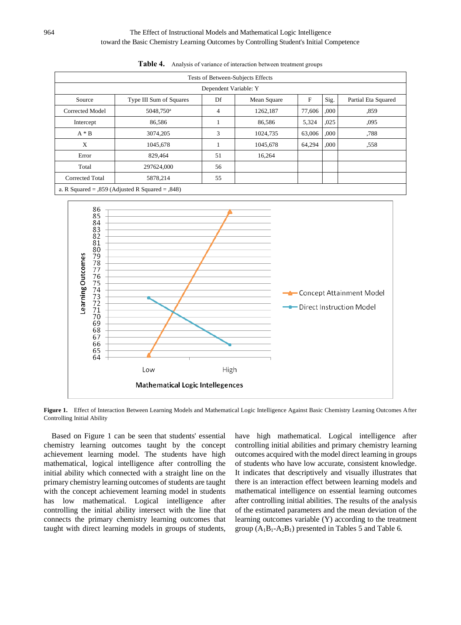#### 964 The Effect of Instructional Models and Mathematical Logic Intelligence toward the Basic Chemistry Learning Outcomes by Controlling Student's Initial Competence

| Tests of Between-Subjects Effects |                         |    |             |        |      |                     |  |  |
|-----------------------------------|-------------------------|----|-------------|--------|------|---------------------|--|--|
| Dependent Variable: Y             |                         |    |             |        |      |                     |  |  |
| Source                            | Type III Sum of Squares | Df | Mean Square | F      | Sig. | Partial Eta Squared |  |  |
| Corrected Model                   | 5048,750 <sup>a</sup>   | 4  | 1262,187    | 77,606 | ,000 | .859                |  |  |
| Intercept                         | 86,586                  |    | 86,586      | 5,324  | ,025 | ,095                |  |  |
| $A * B$                           | 3074,205                | 3  | 1024,735    | 63,006 | ,000 | .788                |  |  |
| X                                 | 1045,678                |    | 1045,678    | 64,294 | ,000 | ,558                |  |  |
| Error                             | 829,464                 | 51 | 16,264      |        |      |                     |  |  |
| Total                             | 297624,000              | 56 |             |        |      |                     |  |  |
| Corrected Total                   | 5878,214                | 55 |             |        |      |                     |  |  |

**Table 4.** Analysis of variance of interaction between treatment groups

a. R Squared = ,859 (Adjusted R Squared = ,848)



**Figure 1.** Effect of Interaction Between Learning Models and Mathematical Logic Intelligence Against Basic Chemistry Learning Outcomes After Controlling Initial Ability

Based on Figure 1 can be seen that students' essential chemistry learning outcomes taught by the concept achievement learning model. The students have high mathematical, logical intelligence after controlling the initial ability which connected with a straight line on the primary chemistry learning outcomes of students are taught with the concept achievement learning model in students has low mathematical. Logical intelligence after controlling the initial ability intersect with the line that connects the primary chemistry learning outcomes that taught with direct learning models in groups of students, have high mathematical. Logical intelligence after controlling initial abilities and primary chemistry learning outcomes acquired with the model direct learning in groups of students who have low accurate, consistent knowledge. It indicates that descriptively and visually illustrates that there is an interaction effect between learning models and mathematical intelligence on essential learning outcomes after controlling initial abilities. The results of the analysis of the estimated parameters and the mean deviation of the learning outcomes variable (Y) according to the treatment group  $(A_1B_1-A_2B_1)$  presented in Tables 5 and Table 6.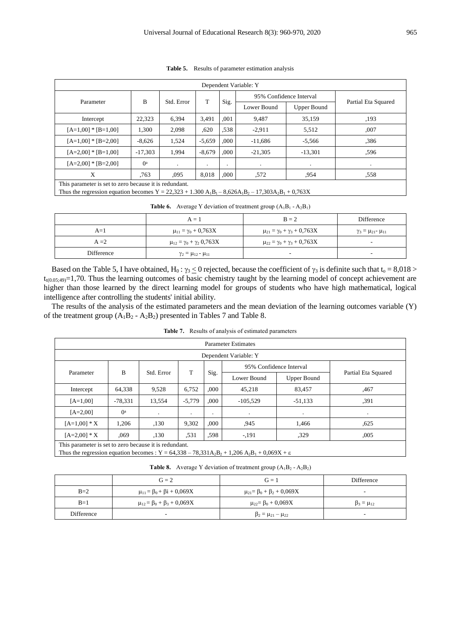| Dependent Variable: Y                                  |                                                                          |            |           |           |                         |             |                     |  |
|--------------------------------------------------------|--------------------------------------------------------------------------|------------|-----------|-----------|-------------------------|-------------|---------------------|--|
|                                                        | B                                                                        | Std. Error | T         |           | 95% Confidence Interval |             |                     |  |
| Parameter                                              |                                                                          |            |           | Sig.      | Lower Bound             | Upper Bound | Partial Eta Squared |  |
| Intercept                                              | 22,323                                                                   | 6,394      | 3,491     | ,001      | 9,487                   | 35,159      | ,193                |  |
| $[A=1,00]$ * $[B=1,00]$                                | 1,300                                                                    | 2,098      | ,620      | .538      | $-2,911$                | 5,512       | ,007                |  |
| $[A=1,00]$ * $[B=2,00]$                                | $-8,626$                                                                 | 1,524      | $-5,659$  | ,000      | $-11,686$               | $-5,566$    | .386                |  |
| $[A=2,00]$ * $[B=1,00]$                                | .000<br>$-17.303$<br>$-8.679$<br>$-21,305$<br>$-13,301$<br>1,994<br>.596 |            |           |           |                         |             |                     |  |
| $[A=2,00]$ * $[B=2,00]$                                | $0^{\rm a}$                                                              | $\bullet$  | $\bullet$ | $\bullet$ | $\bullet$               | $\bullet$   | $\bullet$           |  |
| X                                                      | .763                                                                     | .095       | 8,018     | ,000      | .572                    | .954        | ,558                |  |
| This parameter is set to zero because it is redundant. |                                                                          |            |           |           |                         |             |                     |  |

**Table 5.** Results of parameter estimation analysis

Thus the regression equation becomes Y = 22,323 + 1.300 A<sub>1</sub>B<sub>1</sub> – 8,626A<sub>1</sub>B<sub>2</sub> – 17,303A<sub>2</sub>B<sub>1</sub> + 0,763X

|  |  |  | <b>Table 6.</b> Average Y deviation of treatment group $(A_1B_1 - A_2B_1)$ |  |  |  |
|--|--|--|----------------------------------------------------------------------------|--|--|--|
|--|--|--|----------------------------------------------------------------------------|--|--|--|

|            | $A = 1$                                    | $B = 2$                                   | Difference                       |
|------------|--------------------------------------------|-------------------------------------------|----------------------------------|
| $A=1$      | $\mu_{11} = \gamma_0 + 0.763X$             | $\mu_{21} = \gamma_0 + \gamma_3 + 0.763X$ | $\gamma_3 = \mu_{21} - \mu_{11}$ |
| $A = 2$    | $\mu_{12} = \gamma_0 + \gamma_2 \ 0.763 X$ | $\mu_{22} = \gamma_0 + \gamma_3 + 0.763X$ | -                                |
| Difference | $\gamma_2 = \mu_{12} - \mu_{11}$           | -                                         | $\overline{\phantom{a}}$         |

Based on the Table 5, I have obtained, H<sub>0</sub> :  $\gamma_3 \le 0$  rejected, because the coefficient of  $\gamma_3$  is definite such that t<sub>o</sub> = 8,018 >  $t_{t(0.05;49)}$ =1,70. Thus the learning outcomes of basic chemistry taught by the learning model of concept achievement are higher than those learned by the direct learning model for groups of students who have high mathematical, logical intelligence after controlling the students' initial ability.

The results of the analysis of the estimated parameters and the mean deviation of the learning outcomes variable (Y) of the treatment group  $(A_1B_2 - A_2B_2)$  presented in Tables 7 and Table 8.

**Table 7.** Results of analysis of estimated parameters

| <b>Parameter Estimates</b>                                                                                                                                     |                                                         |            |           |      |             |                    |                     |  |  |
|----------------------------------------------------------------------------------------------------------------------------------------------------------------|---------------------------------------------------------|------------|-----------|------|-------------|--------------------|---------------------|--|--|
| Dependent Variable: Y                                                                                                                                          |                                                         |            |           |      |             |                    |                     |  |  |
| 95% Confidence Interval                                                                                                                                        |                                                         |            |           |      |             |                    |                     |  |  |
| Parameter                                                                                                                                                      | B                                                       | Std. Error | Sig.<br>Т |      | Lower Bound | <b>Upper Bound</b> | Partial Eta Squared |  |  |
| Intercept                                                                                                                                                      | 64,338                                                  | 9,528      | 6,752     | .000 | 45,218      | 83,457             | ,467                |  |  |
| $[A=1,00]$                                                                                                                                                     | $-78,331$                                               | 13,554     | $-5,779$  | ,000 | $-105.529$  | $-51,133$          | ,391                |  |  |
| $[A=2,00]$                                                                                                                                                     | $()^a$<br>$\bullet$<br>٠<br>$\cdot$<br>٠<br>$\bullet$   |            |           |      |             |                    |                     |  |  |
| $[A=1,00]$ * X                                                                                                                                                 | .000<br>1.206<br>,130<br>9,302<br>.945<br>1,466<br>.625 |            |           |      |             |                    |                     |  |  |
| $[A=2,00]$ * X<br>,130<br>.531<br>.598<br>$-.191$<br>.329<br>,069<br>,005                                                                                      |                                                         |            |           |      |             |                    |                     |  |  |
| This parameter is set to zero because it is redundant.<br>Thus the regression equation becomes : $Y = 64,338 - 78,331A_2B_2 + 1,206A_2B_1 + 0,069X + \epsilon$ |                                                         |            |           |      |             |                    |                     |  |  |

**Table 8.** Average Y deviation of treatment group  $(A_1B_2 - A_2B_2)$ 

|            | $G = 2$                                 | $G = 1$                                 | Difference           |
|------------|-----------------------------------------|-----------------------------------------|----------------------|
| $B=2$      | $\mu_{11} = \beta_0 + \beta_1 + 0.069X$ | $\mu_{21} = \beta_0 + \beta_2 + 0.069X$ | -                    |
| $B=1$      | $\mu_{12} = \beta_0 + \beta_3 + 0.069X$ | $\mu_{22} = \beta_0 + 0.069X$           | $\beta_3 = \mu_{12}$ |
| Difference | -                                       | $\beta_2 = \mu_{21} - \mu_{22}$         | -                    |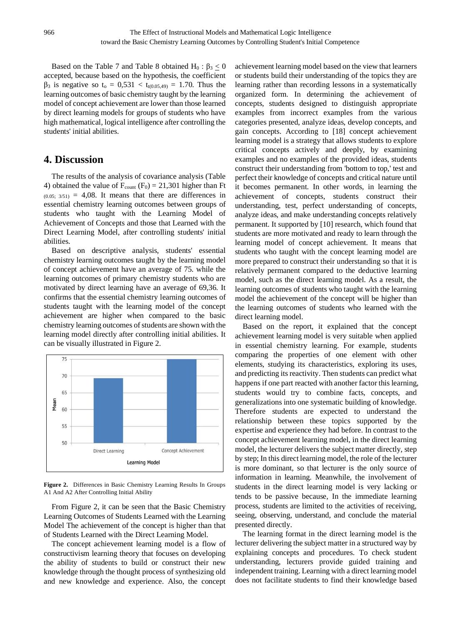Based on the Table 7 and Table 8 obtained H<sub>0</sub> :  $\beta_3 \le 0$ accepted, because based on the hypothesis, the coefficient  $β_3$  is negative so t<sub>0</sub> = 0,531 < t<sub>t(0.05,49)</sub> = 1.70. Thus the learning outcomes of basic chemistry taught by the learning model of concept achievement are lower than those learned by direct learning models for groups of students who have high mathematical, logical intelligence after controlling the students' initial abilities.

## **4. Discussion**

The results of the analysis of covariance analysis (Table 4) obtained the value of  $F_{\text{count}}(F_0) = 21,301$  higher than Ft  $(0.05; 3/51) = 4,08$ . It means that there are differences in essential chemistry learning outcomes between groups of students who taught with the Learning Model of Achievement of Concepts and those that Learned with the Direct Learning Model, after controlling students' initial abilities.

Based on descriptive analysis, students' essential chemistry learning outcomes taught by the learning model of concept achievement have an average of 75. while the learning outcomes of primary chemistry students who are motivated by direct learning have an average of 69,36. It confirms that the essential chemistry learning outcomes of students taught with the learning model of the concept achievement are higher when compared to the basic chemistry learning outcomes of students are shown with the learning model directly after controlling initial abilities. It can be visually illustrated in Figure 2.



**Figure 2.** Differences in Basic Chemistry Learning Results In Groups A1 And A2 After Controlling Initial Ability

From Figure 2, it can be seen that the Basic Chemistry Learning Outcomes of Students Learned with the Learning Model The achievement of the concept is higher than that of Students Learned with the Direct Learning Model.

The concept achievement learning model is a flow of constructivism learning theory that focuses on developing the ability of students to build or construct their new knowledge through the thought process of synthesizing old and new knowledge and experience. Also, the concept

achievement learning model based on the view that learners or students build their understanding of the topics they are learning rather than recording lessons in a systematically organized form. In determining the achievement of concepts, students designed to distinguish appropriate examples from incorrect examples from the various categories presented, analyze ideas, develop concepts, and gain concepts. According to [18] concept achievement learning model is a strategy that allows students to explore critical concepts actively and deeply, by examining examples and no examples of the provided ideas, students construct their understanding from 'bottom to top,' test and perfect their knowledge of concepts and critical nature until it becomes permanent. In other words, in learning the achievement of concepts, students construct their understanding, test, perfect understanding of concepts, analyze ideas, and make understanding concepts relatively permanent. It supported by [10] research, which found that students are more motivated and ready to learn through the learning model of concept achievement. It means that students who taught with the concept learning model are more prepared to construct their understanding so that it is relatively permanent compared to the deductive learning model, such as the direct learning model. As a result, the learning outcomes of students who taught with the learning model the achievement of the concept will be higher than the learning outcomes of students who learned with the direct learning model.

Based on the report, it explained that the concept achievement learning model is very suitable when applied in essential chemistry learning. For example, students comparing the properties of one element with other elements, studying its characteristics, exploring its uses, and predicting its reactivity. Then students can predict what happens if one part reacted with another factor this learning, students would try to combine facts, concepts, and generalizations into one systematic building of knowledge. Therefore students are expected to understand the relationship between these topics supported by the expertise and experience they had before. In contrast to the concept achievement learning model, in the direct learning model, the lecturer delivers the subject matter directly, step by step; In this direct learning model, the role of the lecturer is more dominant, so that lecturer is the only source of information in learning. Meanwhile, the involvement of students in the direct learning model is very lacking or tends to be passive because, In the immediate learning process, students are limited to the activities of receiving, seeing, observing, understand, and conclude the material presented directly.

The learning format in the direct learning model is the lecturer delivering the subject matter in a structured way by explaining concepts and procedures. To check student understanding, lecturers provide guided training and independent training. Learning with a direct learning model does not facilitate students to find their knowledge based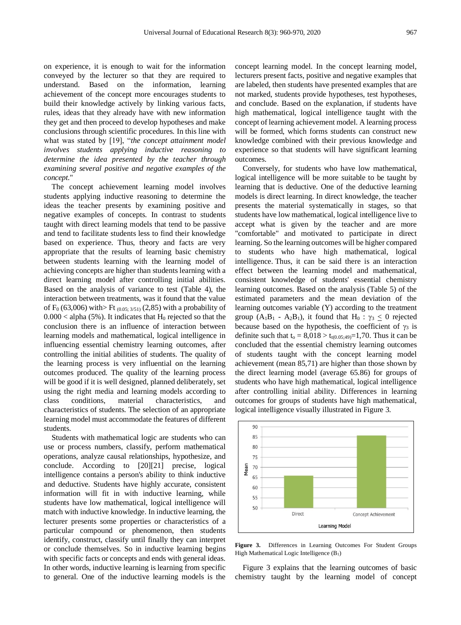on experience, it is enough to wait for the information conveyed by the lecturer so that they are required to understand. Based on the information, learning achievement of the concept more encourages students to build their knowledge actively by linking various facts, rules, ideas that they already have with new information they get and then proceed to develop hypotheses and make conclusions through scientific procedures. In this line with what was stated by [19], "*the concept attainment model involves students applying inductive reasoning to determine the idea presented by the teacher through examining several positive and negative examples of the concept*."

The concept achievement learning model involves students applying inductive reasoning to determine the ideas the teacher presents by examining positive and negative examples of concepts. In contrast to students taught with direct learning models that tend to be passive and tend to facilitate students less to find their knowledge based on experience. Thus, theory and facts are very appropriate that the results of learning basic chemistry between students learning with the learning model of achieving concepts are higher than students learning with a direct learning model after controlling initial abilities. Based on the analysis of variance to test (Table 4), the interaction between treatments, was it found that the value of  $F_0$  (63,006) with>  $F_0$  (0.05; 3/51) (2,85) with a probability of  $0.000 <$  alpha (5%). It indicates that H<sub>0</sub> rejected so that the conclusion there is an influence of interaction between learning models and mathematical, logical intelligence in influencing essential chemistry learning outcomes, after controlling the initial abilities of students. The quality of the learning process is very influential on the learning outcomes produced. The quality of the learning process will be good if it is well designed, planned deliberately, set using the right media and learning models according to class conditions, material characteristics, and characteristics of students. The selection of an appropriate learning model must accommodate the features of different students.

Students with mathematical logic are students who can use or process numbers, classify, perform mathematical operations, analyze causal relationships, hypothesize, and conclude. According to [20][21] precise, logical intelligence contains a person's ability to think inductive and deductive. Students have highly accurate, consistent information will fit in with inductive learning, while students have low mathematical, logical intelligence will match with inductive knowledge. In inductive learning, the lecturer presents some properties or characteristics of a particular compound or phenomenon, then students identify, construct, classify until finally they can interpret or conclude themselves. So in inductive learning begins with specific facts or concepts and ends with general ideas. In other words, inductive learning is learning from specific to general. One of the inductive learning models is the

concept learning model. In the concept learning model, lecturers present facts, positive and negative examples that are labeled, then students have presented examples that are not marked, students provide hypotheses, test hypotheses, and conclude. Based on the explanation, if students have high mathematical, logical intelligence taught with the concept of learning achievement model. A learning process will be formed, which forms students can construct new knowledge combined with their previous knowledge and experience so that students will have significant learning outcomes.

Conversely, for students who have low mathematical, logical intelligence will be more suitable to be taught by learning that is deductive. One of the deductive learning models is direct learning. In direct knowledge, the teacher presents the material systematically in stages, so that students have low mathematical, logical intelligence live to accept what is given by the teacher and are more "comfortable" and motivated to participate in direct learning. So the learning outcomes will be higher compared to students who have high mathematical, logical intelligence. Thus, it can be said there is an interaction effect between the learning model and mathematical, consistent knowledge of students' essential chemistry learning outcomes. Based on the analysis (Table 5) of the estimated parameters and the mean deviation of the learning outcomes variable (Y) according to the treatment group (A<sub>1</sub>B<sub>1</sub> - A<sub>2</sub>B<sub>1</sub>), it found that H<sub>0</sub> :  $\gamma_3 \le 0$  rejected because based on the hypothesis, the coefficient of  $\gamma_3$  is definite such that  $t_0 = 8,018 > t_{t(0.05;49)} = 1,70$ . Thus it can be concluded that the essential chemistry learning outcomes of students taught with the concept learning model achievement (mean 85,71) are higher than those shown by the direct learning model (average 65.86) for groups of students who have high mathematical, logical intelligence after controlling initial ability. Differences in learning outcomes for groups of students have high mathematical, logical intelligence visually illustrated in Figure 3.



**Figure 3.** Differences in Learning Outcomes For Student Groups High Mathematical Logic Intelligence (B1)

Figure 3 explains that the learning outcomes of basic chemistry taught by the learning model of concept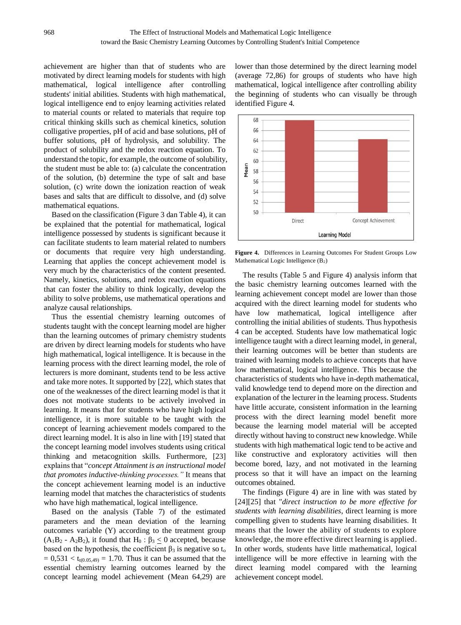achievement are higher than that of students who are motivated by direct learning models for students with high mathematical, logical intelligence after controlling students' initial abilities. Students with high mathematical, logical intelligence end to enjoy learning activities related to material counts or related to materials that require top critical thinking skills such as chemical kinetics, solution colligative properties, pH of acid and base solutions, pH of buffer solutions, pH of hydrolysis, and solubility. The product of solubility and the redox reaction equation. To understand the topic, for example, the outcome of solubility, the student must be able to: (a) calculate the concentration of the solution, (b) determine the type of salt and base solution, (c) write down the ionization reaction of weak bases and salts that are difficult to dissolve, and (d) solve mathematical equations.

Based on the classification (Figure 3 dan Table 4), it can be explained that the potential for mathematical, logical intelligence possessed by students is significant because it can facilitate students to learn material related to numbers or documents that require very high understanding. Learning that applies the concept achievement model is very much by the characteristics of the content presented. Namely, kinetics, solutions, and redox reaction equations that can foster the ability to think logically, develop the ability to solve problems, use mathematical operations and analyze causal relationships.

Thus the essential chemistry learning outcomes of students taught with the concept learning model are higher than the learning outcomes of primary chemistry students are driven by direct learning models for students who have high mathematical, logical intelligence. It is because in the learning process with the direct learning model, the role of lecturers is more dominant, students tend to be less active and take more notes. It supported by [22], which states that one of the weaknesses of the direct learning model is that it does not motivate students to be actively involved in learning. It means that for students who have high logical intelligence, it is more suitable to be taught with the concept of learning achievement models compared to the direct learning model. It is also in line with [19] stated that the concept learning model involves students using critical thinking and metacognition skills. Furthermore, [23] explains that "*concept Attainment is an instructional model that promotes inductive-thinking processes."* It means that the concept achievement learning model is an inductive learning model that matches the characteristics of students who have high mathematical, logical intelligence.

Based on the analysis (Table 7) of the estimated parameters and the mean deviation of the learning outcomes variable (Y) according to the treatment group  $(A_1B_2 - A_2B_2)$ , it found that  $H_0: \beta_3 < 0$  accepted, because based on the hypothesis, the coefficient  $\beta_3$  is negative so t<sub>o</sub>  $= 0.531 < t_{t(0.05,49)} = 1.70$ . Thus it can be assumed that the essential chemistry learning outcomes learned by the concept learning model achievement (Mean 64,29) are lower than those determined by the direct learning model (average 72,86) for groups of students who have high mathematical, logical intelligence after controlling ability the beginning of students who can visually be through identified Figure 4.



**Figure 4.** Differences in Learning Outcomes For Student Groups Low Mathematical Logic Intelligence  $(B_2)$ 

The results (Table 5 and Figure 4) analysis inform that the basic chemistry learning outcomes learned with the learning achievement concept model are lower than those acquired with the direct learning model for students who have low mathematical, logical intelligence after controlling the initial abilities of students. Thus hypothesis 4 can be accepted. Students have low mathematical logic intelligence taught with a direct learning model, in general, their learning outcomes will be better than students are trained with learning models to achieve concepts that have low mathematical, logical intelligence. This because the characteristics of students who have in-depth mathematical, valid knowledge tend to depend more on the direction and explanation of the lecturer in the learning process. Students have little accurate, consistent information in the learning process with the direct learning model benefit more because the learning model material will be accepted directly without having to construct new knowledge. While students with high mathematical logic tend to be active and like constructive and exploratory activities will then become bored, lazy, and not motivated in the learning process so that it will have an impact on the learning outcomes obtained.

The findings (Figure 4) are in line with was stated by [24]<sup>[25]</sup> that "*direct instruction to be more effective for students with learning disabilities*, direct learning is more compelling given to students have learning disabilities. It means that the lower the ability of students to explore knowledge, the more effective direct learning is applied. In other words, students have little mathematical, logical intelligence will be more effective in learning with the direct learning model compared with the learning achievement concept model.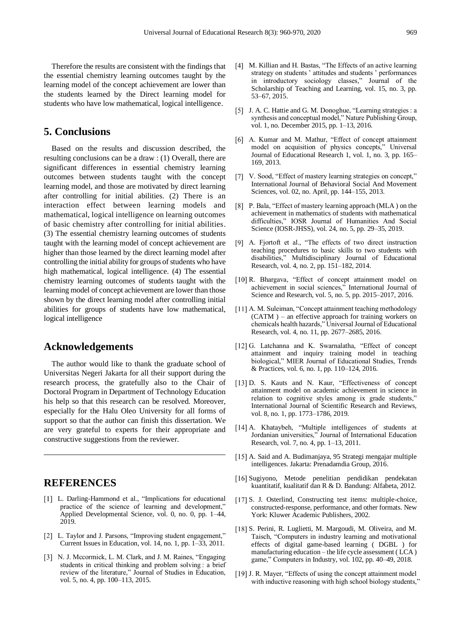Therefore the results are consistent with the findings that the essential chemistry learning outcomes taught by the learning model of the concept achievement are lower than the students learned by the Direct learning model for students who have low mathematical, logical intelligence.

## **5. Conclusions**

Based on the results and discussion described, the resulting conclusions can be a draw : (1) Overall, there are significant differences in essential chemistry learning outcomes between students taught with the concept learning model, and those are motivated by direct learning after controlling for initial abilities. (2) There is an interaction effect between learning models and mathematical, logical intelligence on learning outcomes of basic chemistry after controlling for initial abilities. (3) The essential chemistry learning outcomes of students taught with the learning model of concept achievement are higher than those learned by the direct learning model after controlling the initial ability for groups of students who have high mathematical, logical intelligence. (4) The essential chemistry learning outcomes of students taught with the learning model of concept achievement are lower than those shown by the direct learning model after controlling initial abilities for groups of students have low mathematical, logical intelligence

### **Acknowledgements**

The author would like to thank the graduate school of Universitas Negeri Jakarta for all their support during the research process, the gratefully also to the Chair of Doctoral Program in Department of Technology Education his help so that this research can be resolved. Moreover, especially for the Halu Oleo University for all forms of support so that the author can finish this dissertation. We are very grateful to experts for their appropriate and constructive suggestions from the reviewer.

# **REFERENCES**

- [1] L. Darling-Hammond et al., "Implications for educational practice of the science of learning and development," Applied Developmental Science, vol. 0, no. 0, pp. 1–44, 2019.
- [2] L. Taylor and J. Parsons, "Improving student engagement," Current Issues in Education, vol. 14, no. 1, pp. 1–33, 2011.
- [3] N. J. Mccormick, L. M. Clark, and J. M. Raines, "Engaging students in critical thinking and problem solving : a brief review of the literature," Journal of Studies in Education, vol. 5, no. 4, pp. 100–113, 2015.
- [4] M. Killian and H. Bastas, "The Effects of an active learning strategy on students ' attitudes and students ' performances in introductory sociology classes," Journal of the Scholarship of Teaching and Learning, vol. 15, no. 3, pp. 53–67, 2015.
- [5] J. A. C. Hattie and G. M. Donoghue, "Learning strategies : a synthesis and conceptual model," Nature Publishing Group, vol. 1, no. December 2015, pp. 1–13, 2016.
- [6] A. Kumar and M. Mathur, "Effect of concept attainment model on acquisition of physics concepts," Universal Journal of Educational Research 1, vol. 1, no. 3, pp. 165– 169, 2013.
- [7] V. Sood, "Effect of mastery learning strategies on concept," International Journal of Behavioral Social And Movement Sciences, vol. 02, no. April, pp. 144–155, 2013.
- P. Bala, "Effect of mastery learning approach (MLA ) on the achievement in mathematics of students with mathematical difficulties," IOSR Journal of Humanities And Social Science (IOSR-JHSS), vol. 24, no. 5, pp. 29–35, 2019.
- [9] A. Fjortoft et al., "The effects of two direct instruction teaching procedures to basic skills to two students with disabilities," Multidisciplinary Journal of Educational Research, vol. 4, no. 2, pp. 151–182, 2014.
- [10] R. Bhargava, "Effect of concept attainment model on achievement in social sciences," International Journal of Science and Research, vol. 5, no. 5, pp. 2015–2017, 2016.
- [11] A. M. Suleiman, "Concept attainment teaching methodology (CATM ) – an effective approach for training workers on chemicals health hazards," Universal Journal of Educational Research, vol. 4, no. 11, pp. 2677–2685, 2016.
- [12] G. Latchanna and K. Swarnalatha, "Effect of concept attainment and inquiry training model in teaching biological," MIER Journal of Educational Studies, Trends & Practices, vol. 6, no. 1, pp. 110–124, 2016.
- [13] D. S. Kauts and N. Kaur, "Effectiveness of concept attainment model on academic achievement in science in relation to cognitive styles among ix grade students," International Journal of Scientific Research and Reviews, vol. 8, no. 1, pp. 1773–1786, 2019.
- [14] A. Khataybeh, "Multiple intelligences of students at Jordanian universities," Journal of International Education Research, vol. 7, no. 4, pp. 1–13, 2011.
- [15] A. Said and A. Budimanjaya, 95 Strategi mengajar multiple intelligences. Jakarta: Prenadamdia Group, 2016.
- [16] Sugiyono, Metode penelitian pendidikan pendekatan kuantitatif, kualitatif dan R & D. Bandung: Alfabeta, 2012.
- [17] S. J. Osterlind, Constructing test items: multiple-choice, constructed-response, performance, and other formats. New York: Kluwer Academic Publishers, 2002.
- [18] S. Perini, R. Luglietti, M. Margoudi, M. Oliveira, and M. Taisch, "Computers in industry learning and motivational effects of digital game-based learning ( DGBL ) for manufacturing education – the life cycle assessment ( LCA ) game," Computers in Industry, vol. 102, pp. 40–49, 2018.
- [19] J. R. Mayer, "Effects of using the concept attainment model with inductive reasoning with high school biology students,"